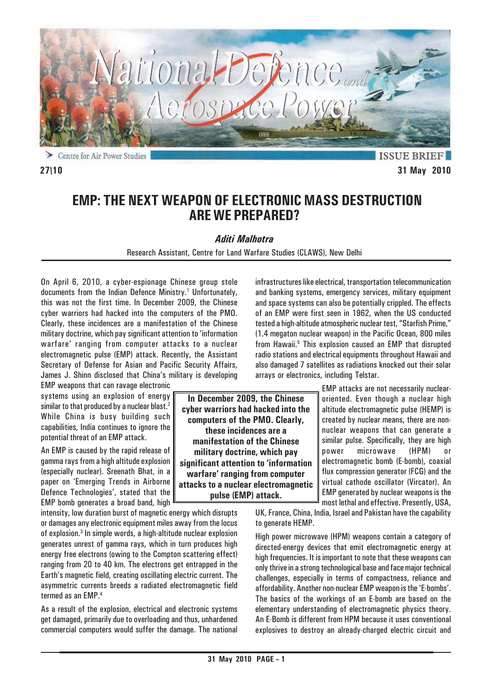

Centre for Air Power Studies ⋗

**ISSUE BRIEF 27\10 31 May 2010**

# **EMP: THE NEXT WEAPON OF ELECTRONIC MASS DESTRUCTION ARE WE PREPARED?**

### *Aditi Malhotra*

Research Assistant, Centre for Land Warfare Studies (CLAWS), New Delhi

On April 6, 2010, a cyber-espionage Chinese group stole documents from the Indian Defence Ministry.<sup>1</sup> Unfortunately, this was not the first time. In December 2009, the Chinese cyber warriors had hacked into the computers of the PMO. Clearly, these incidences are a manifestation of the Chinese military doctrine, which pay significant attention to 'information warfare' ranging from computer attacks to a nuclear electromagnetic pulse (EMP) attack. Recently, the Assistant Secretary of Defense for Asian and Pacific Security Affairs, James J. Shinn disclosed that China's military is developing

EMP weapons that can ravage electronic systems using an explosion of energy similar to that produced by a nuclear blast.<sup>2</sup> While China is busy building such capabilities, India continues to ignore the potential threat of an EMP attack.

An EMP is caused by the rapid release of gamma rays from a high altitude explosion (especially nuclear). Sreenath Bhat, in a paper on 'Emerging Trends in Airborne Defence Technologies', stated that the EMP bomb generates a broad band, high

intensity, low duration burst of magnetic energy which disrupts or damages any electronic equipment miles away from the locus of explosion.3 In simple words, a high-altitude nuclear explosion generates unrest of gamma rays, which in turn produces high energy free electrons (owing to the Compton scattering effect) ranging from 20 to 40 km. The electrons get entrapped in the Earth's magnetic field, creating oscillating electric current. The asymmetric currents breeds a radiated electromagnetic field termed as an EMP.<sup>4</sup>

As a result of the explosion, electrical and electronic systems get damaged, primarily due to overloading and thus, unhardened commercial computers would suffer the damage. The national

**In December 2009, the Chinese cyber warriors had hacked into the computers of the PMO. Clearly, these incidences are a manifestation of the Chinese military doctrine, which pay significant attention to 'information warfare' ranging from computer attacks to a nuclear electromagnetic pulse (EMP) attack.**

infrastructures like electrical, transportation telecommunication and banking systems, emergency services, military equipment and space systems can also be potentially crippled. The effects of an EMP were first seen in 1962, when the US conducted tested a high-altitude atmospheric nuclear test, "Starfish Prime," (1.4 megaton nuclear weapon) in the Pacific Ocean, 800 miles from Hawaii.<sup>5</sup> This explosion caused an EMP that disrupted radio stations and electrical equipments throughout Hawaii and also damaged 7 satellites as radiations knocked out their solar arrays or electronics, including Telstar.

> EMP attacks are not necessarily nuclearoriented. Even though a nuclear high altitude electromagnetic pulse (HEMP) is created by nuclear means, there are nonnuclear weapons that can generate a similar pulse. Specifically, they are high power microwave (HPM) or electromagnetic bomb (E-bomb), coaxial flux compression generator (FCG) and the virtual cathode oscillator (Vircator). An EMP generated by nuclear weapons is the most lethal and effective. Presently, USA,

UK, France, China, India, Israel and Pakistan have the capability to generate HEMP.

High power microwave (HPM) weapons contain a category of directed-energy devices that emit electromagnetic energy at high frequencies. It is important to note that these weapons can only thrive in a strong technological base and face major technical challenges, especially in terms of compactness, reliance and affordability. Another non-nuclear EMP weapon is the 'E-bombs'. The basics of the workings of an E-bomb are based on the elementary understanding of electromagnetic physics theory. An E-Bomb is different from HPM because it uses conventional explosives to destroy an already-charged electric circuit and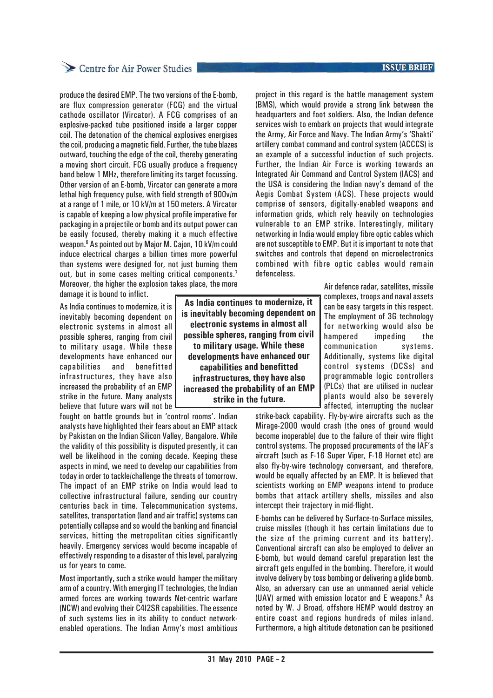# Centre for Air Power Studies

produce the desired EMP. The two versions of the E-bomb, are flux compression generator (FCG) and the virtual cathode oscillator (Vircator). A FCG comprises of an explosive-packed tube positioned inside a larger copper coil. The detonation of the chemical explosives energises the coil, producing a magnetic field. Further, the tube blazes outward, touching the edge of the coil, thereby generating a moving short circuit. FCG usually produce a frequency band below 1 MHz, therefore limiting its target focussing. Other version of an E-bomb, Vircator can generate a more lethal high frequency pulse, with field strength of 900v/m at a range of 1 mile, or 10 kV/m at 150 meters. A Vircator is capable of keeping a low physical profile imperative for packaging in a projectile or bomb and its output power can be easily focused, thereby making it a much effective weapon.6 As pointed out by Major M. Cajon, 10 kV/m could induce electrical charges a billion times more powerful than systems were designed for, not just burning them out, but in some cases melting critical components.<sup>7</sup> Moreover, the higher the explosion takes place, the more

damage it is bound to inflict.

As India continues to modernize, it is inevitably becoming dependent on electronic systems in almost all possible spheres, ranging from civil to military usage. While these developments have enhanced our capabilities and benefitted infrastructures, they have also increased the probability of an EMP strike in the future. Many analysts believe that future wars will not be

fought on battle grounds but in 'control rooms'. Indian analysts have highlighted their fears about an EMP attack by Pakistan on the Indian Silicon Valley, Bangalore. While the validity of this possibility is disputed presently, it can well be likelihood in the coming decade. Keeping these aspects in mind, we need to develop our capabilities from today in order to tackle/challenge the threats of tomorrow. The impact of an EMP strike on India would lead to collective infrastructural failure, sending our country centuries back in time. Telecommunication systems, satellites, transportation (land and air traffic) systems can potentially collapse and so would the banking and financial services, hitting the metropolitan cities significantly heavily. Emergency services would become incapable of effectively responding to a disaster of this level, paralyzing us for years to come.

Most importantly, such a strike would hamper the military arm of a country. With emerging IT technologies, the Indian armed forces are working towards Net-centric warfare (NCW) and evolving their C4I2SR capabilities. The essence of such systems lies in its ability to conduct networkenabled operations. The Indian Army's most ambitious

**As India continues to modernize, it is inevitably becoming dependent on electronic systems in almost all possible spheres, ranging from civil to military usage. While these developments have enhanced our capabilities and benefitted infrastructures, they have also increased the probability of an EMP strike in the future.**

project in this regard is the battle management system (BMS), which would provide a strong link between the

headquarters and foot soldiers. Also, the Indian defence services wish to embark on projects that would integrate the Army, Air Force and Navy. The Indian Army's 'Shakti' artillery combat command and control system (ACCCS) is an example of a successful induction of such projects. Further, the Indian Air Force is working towards an Integrated Air Command and Control System (IACS) and the USA is considering the Indian navy's demand of the Aegis Combat System (ACS). These projects would comprise of sensors, digitally-enabled weapons and information grids, which rely heavily on technologies vulnerable to an EMP strike. Interestingly, military networking in India would employ fibre optic cables which are not susceptible to EMP. But it is important to note that switches and controls that depend on microelectronics combined with fibre optic cables would remain defenceless.

> Air defence radar, satellites, missile complexes, troops and naval assets can be easy targets in this respect. The employment of 3G technology for networking would also be hampered impeding the communication systems. Additionally, systems like digital control systems (DCSs) and programmable logic controllers (PLCs) that are utilised in nuclear plants would also be severely affected, interrupting the nuclear

strike-back capability. Fly-by-wire aircrafts such as the Mirage-2000 would crash (the ones of ground would become inoperable) due to the failure of their wire flight control systems. The proposed procurements of the IAF's aircraft (such as F-16 Super Viper, F-18 Hornet etc) are also fly-by-wire technology conversant, and therefore, would be equally affected by an EMP. It is believed that scientists working on EMP weapons intend to produce bombs that attack artillery shells, missiles and also intercept their trajectory in mid-flight.

E-bombs can be delivered by Surface-to-Surface missiles, cruise missiles (though it has certain limitations due to the size of the priming current and its battery). Conventional aircraft can also be employed to deliver an E-bomb, but would demand careful preparation lest the aircraft gets engulfed in the bombing. Therefore, it would involve delivery by toss bombing or delivering a glide bomb. Also, an adversary can use an unmanned aerial vehicle (UAV) armed with emission locator and E weapons.<sup>8</sup> As noted by W. J Broad, offshore HEMP would destroy an entire coast and regions hundreds of miles inland. Furthermore, a high altitude detonation can be positioned

### **ISSUE BRIEF**